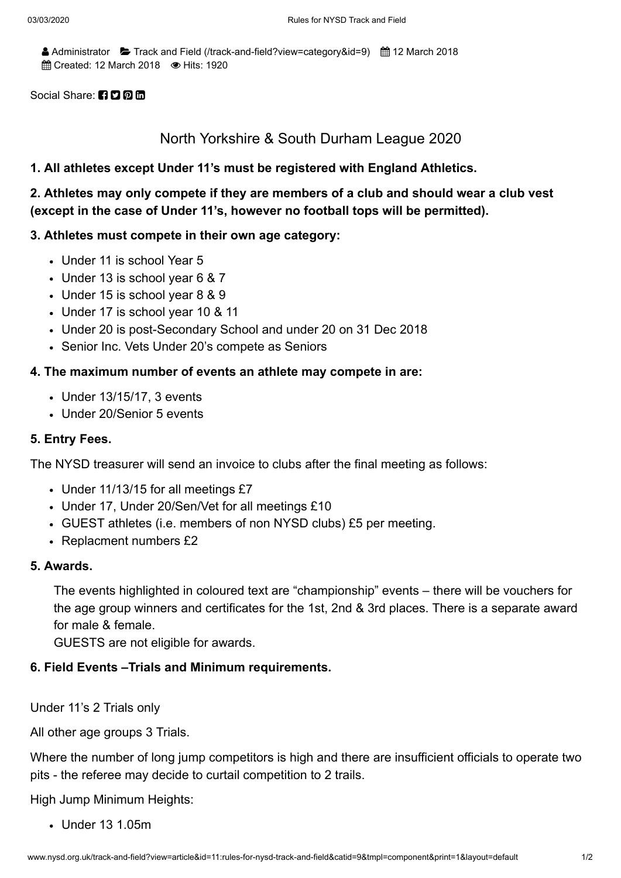Administrator  $\blacktriangleright$  Track and Field [\(/track-and-field?view=category&id=9\)](http://www.nysd.org.uk/track-and-field?view=category&id=9)  $\hat{m}$  12 March 2018 **fff Created: 12 March 2018 ■ Hits: 1920** 

#### Social Share: **n**o a m

## North Yorkshire & South Durham League 2020

#### **1. All athletes except Under 11's must be registered with England Athletics.**

**2. Athletes may only compete if they are members of a club and should wear a club vest (except in the case of Under 11's, however no football tops will be permitted).**

#### **3. Athletes must compete in their own age category:**

- Under 11 is school Year 5
- Under 13 is school year 6 & 7
- Under 15 is school year 8 & 9
- Under 17 is school year 10 & 11
- Under 20 is post-Secondary School and under 20 on 31 Dec 2018
- Senior Inc. Vets Under 20's compete as Seniors

### **4. The maximum number of events an athlete may compete in are:**

- Under 13/15/17, 3 events
- Under 20/Senior 5 events

#### **5. Entry Fees.**

The NYSD treasurer will send an invoice to clubs after the final meeting as follows:

- Under 11/13/15 for all meetings £7
- Under 17, Under 20/Sen/Vet for all meetings £10
- GUEST athletes (i.e. members of non NYSD clubs) £5 per meeting.
- Replacment numbers £2

#### **5. Awards.**

The events highlighted in coloured text are "championship" events – there will be vouchers for the age group winners and certificates for the 1st, 2nd & 3rd places. There is a separate award for male & female.

GUESTS are not eligible for awards.

#### **6. Field Events –Trials and Minimum requirements.**

Under 11's 2 Trials only

All other age groups 3 Trials.

Where the number of long jump competitors is high and there are insufficient officials to operate two pits - the referee may decide to curtail competition to 2 trails.

High Jump Minimum Heights:

Under 13 1.05m